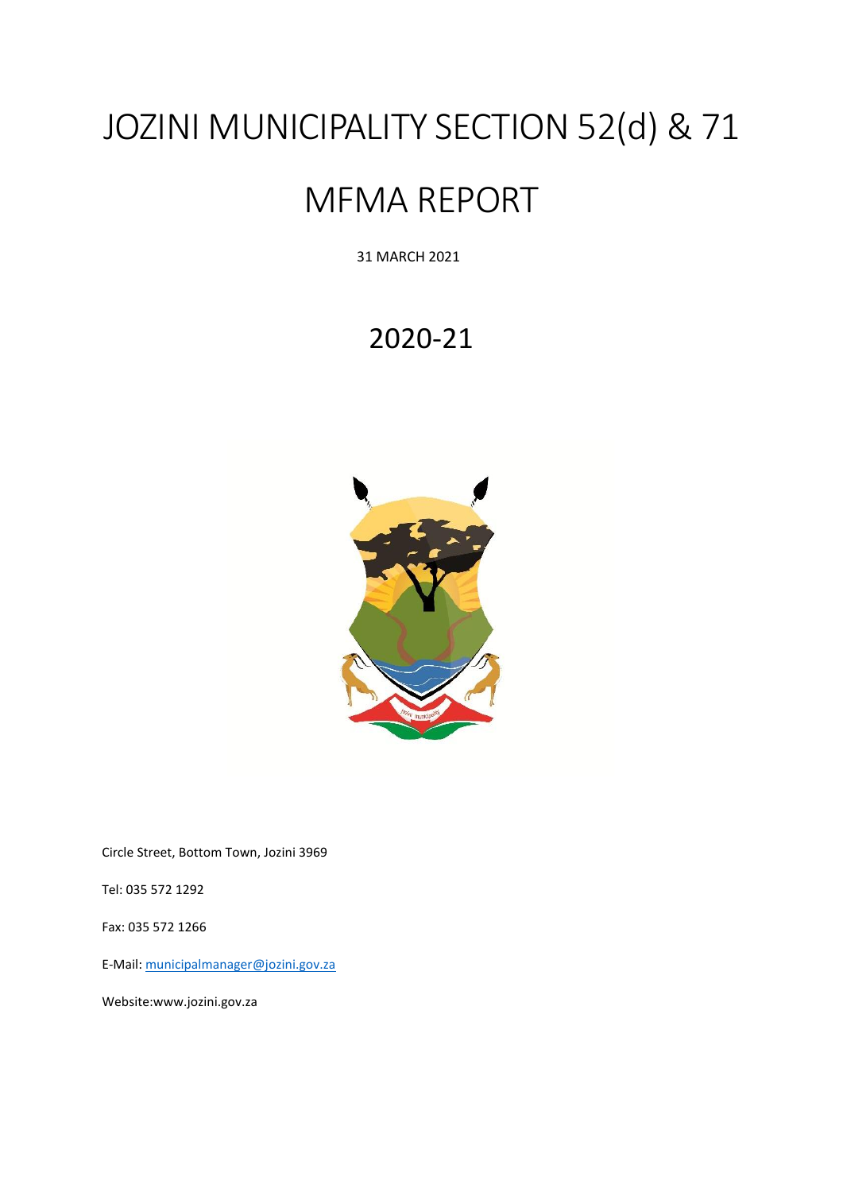# JOZINI MUNICIPALITY SECTION 52(d) & 71

# MFMA REPORT

31 MARCH 2021

# 2020-21



Circle Street, Bottom Town, Jozini 3969

Tel: 035 572 1292

Fax: 035 572 1266

E-Mail: [municipalmanager@jozini.gov.za](mailto:municipalmanager@jozini.gov.za)

Website:www.jozini.gov.za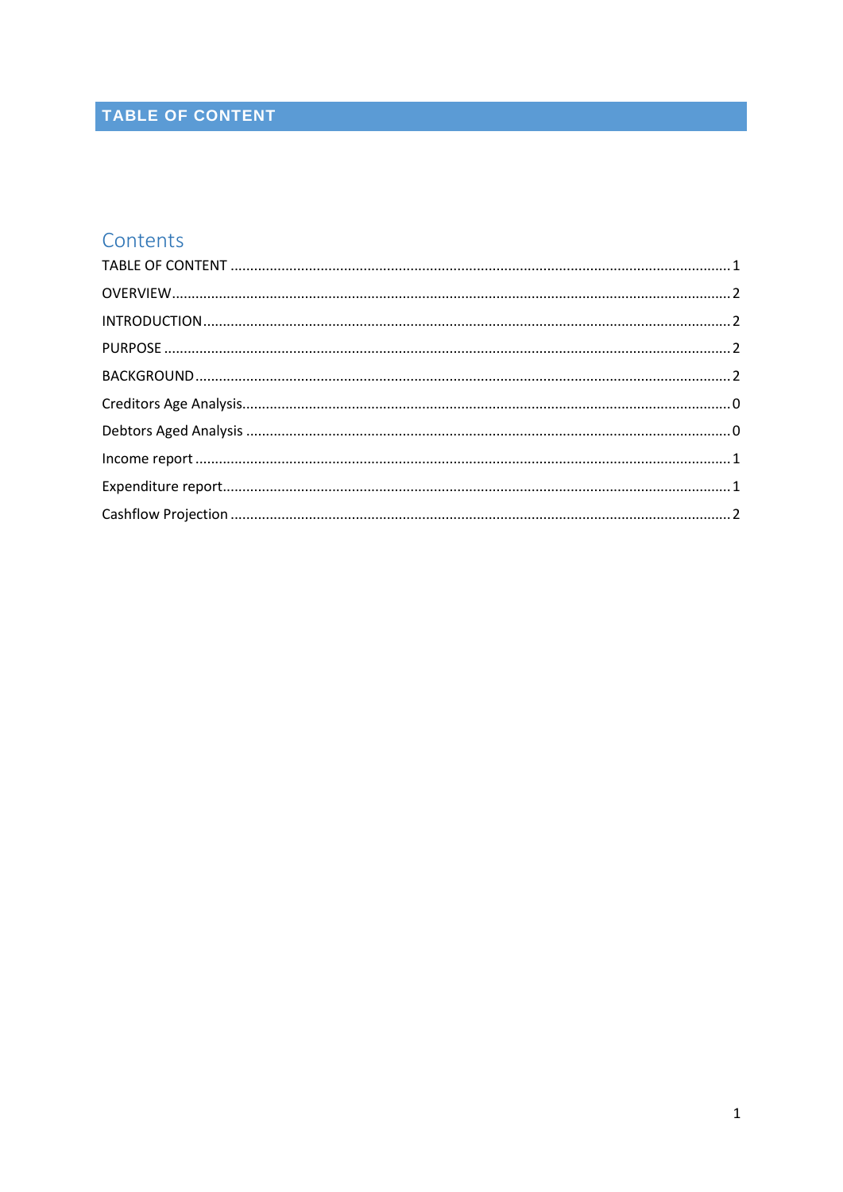# <span id="page-1-0"></span>TABLE OF CONTENT

# Contents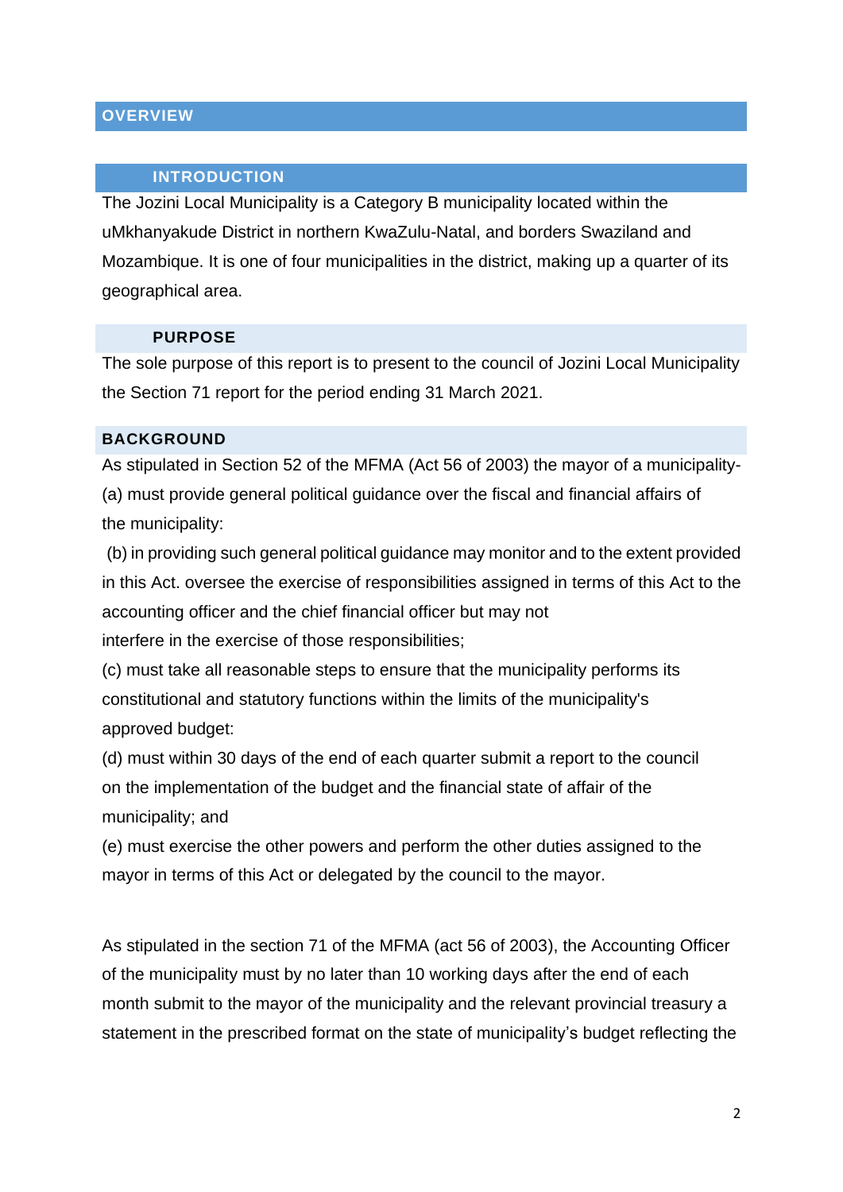# <span id="page-2-0"></span>**OVERVIEW**

### **INTRODUCTION**

<span id="page-2-1"></span>The Jozini Local Municipality is a Category B municipality located within the uMkhanyakude District in northern KwaZulu-Natal, and borders Swaziland and Mozambique. It is one of four municipalities in the district, making up a quarter of its geographical area.

### **PURPOSE**

<span id="page-2-2"></span>The sole purpose of this report is to present to the council of Jozini Local Municipality the Section 71 report for the period ending 31 March 2021.

#### <span id="page-2-3"></span>**BACKGROUND**

As stipulated in Section 52 of the MFMA (Act 56 of 2003) the mayor of a municipality- (a) must provide general political guidance over the fiscal and financial affairs of the municipality:

(b) in providing such general political guidance may monitor and to the extent provided in this Act. oversee the exercise of responsibilities assigned in terms of this Act to the accounting officer and the chief financial officer but may not interfere in the exercise of those responsibilities;

(c) must take all reasonable steps to ensure that the municipality performs its constitutional and statutory functions within the limits of the municipality's approved budget:

(d) must within 30 days of the end of each quarter submit a report to the council on the implementation of the budget and the financial state of affair of the municipality; and

(e) must exercise the other powers and perform the other duties assigned to the mayor in terms of this Act or delegated by the council to the mayor.

As stipulated in the section 71 of the MFMA (act 56 of 2003), the Accounting Officer of the municipality must by no later than 10 working days after the end of each month submit to the mayor of the municipality and the relevant provincial treasury a statement in the prescribed format on the state of municipality's budget reflecting the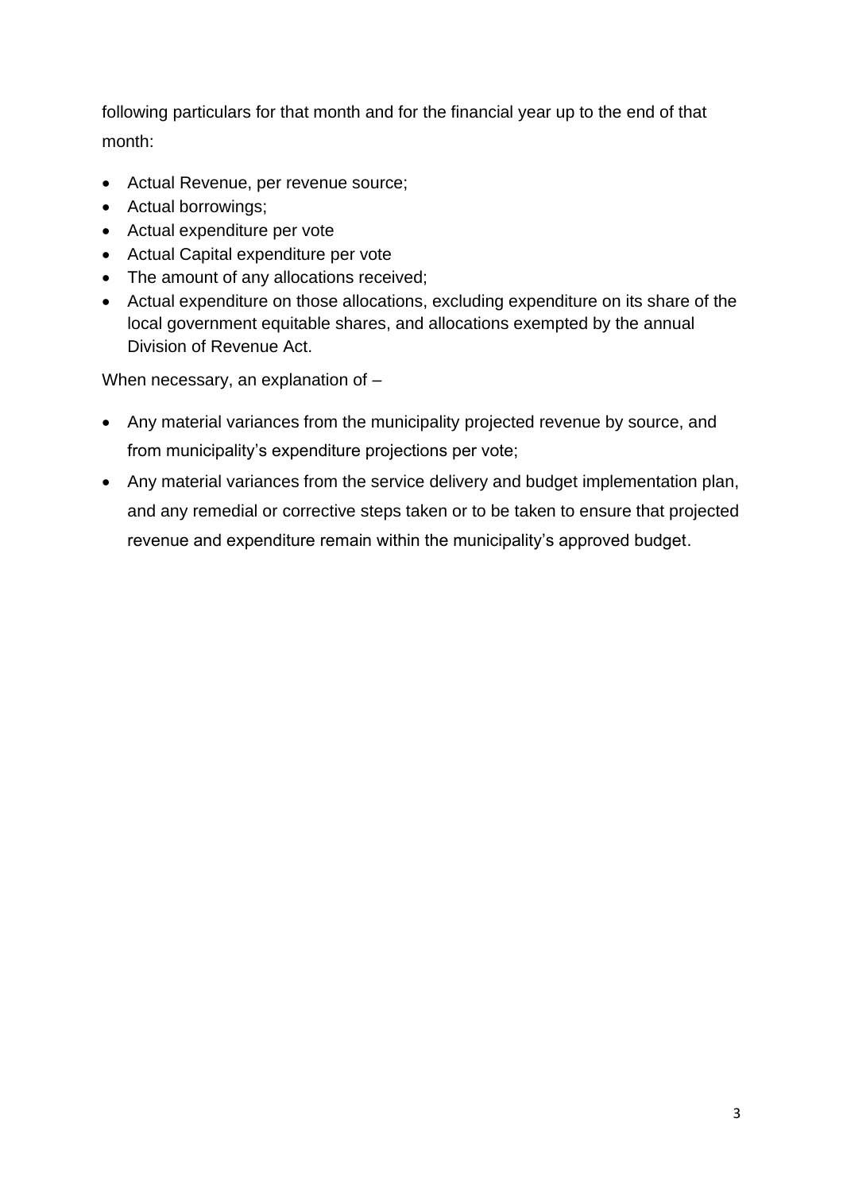following particulars for that month and for the financial year up to the end of that month:

- Actual Revenue, per revenue source;
- Actual borrowings;
- Actual expenditure per vote
- Actual Capital expenditure per vote
- The amount of any allocations received;
- Actual expenditure on those allocations, excluding expenditure on its share of the local government equitable shares, and allocations exempted by the annual Division of Revenue Act.

When necessary, an explanation of –

- Any material variances from the municipality projected revenue by source, and from municipality's expenditure projections per vote;
- Any material variances from the service delivery and budget implementation plan, and any remedial or corrective steps taken or to be taken to ensure that projected revenue and expenditure remain within the municipality's approved budget.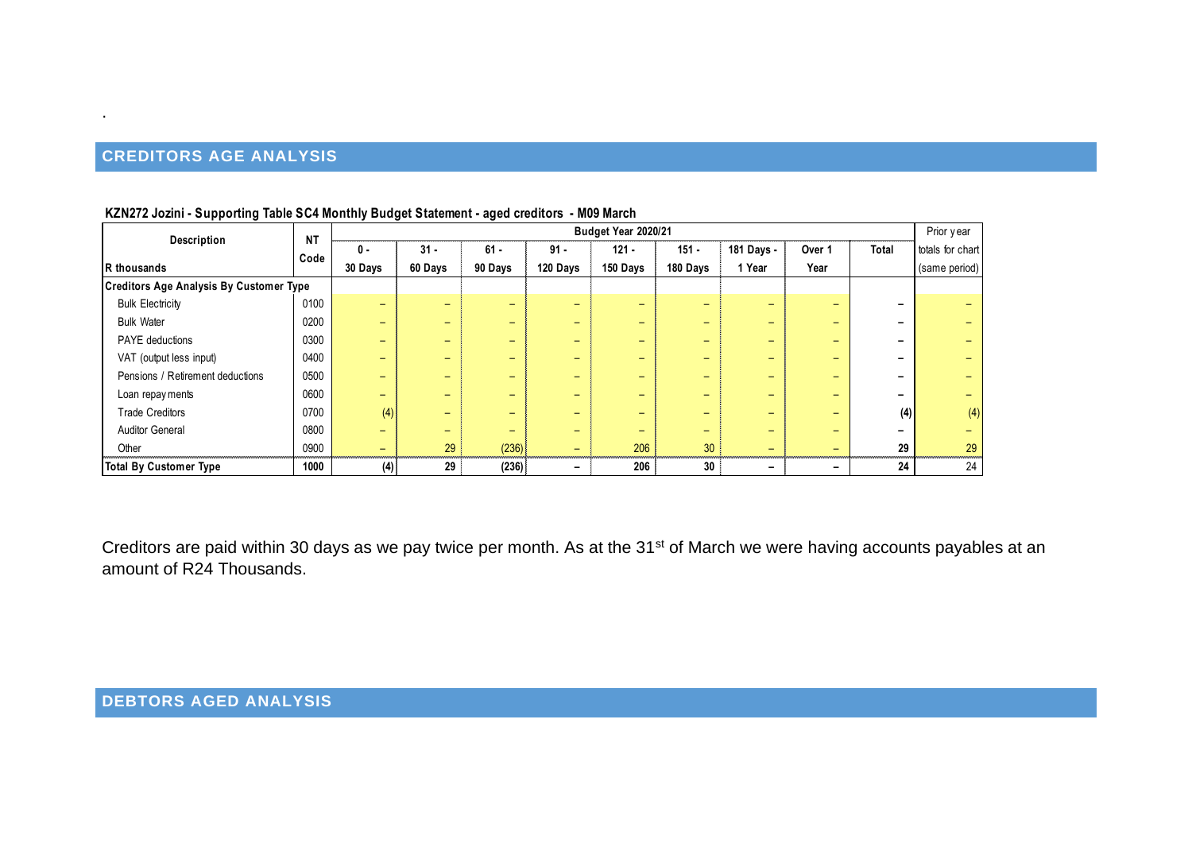# **CREDITORS AGE ANALYSIS**

.

| Budget Year 2020/21<br>Description<br><b>NT</b>                                                                        |      |         |         |                          |          |                          |                          |                          |                          |     |               |  |
|------------------------------------------------------------------------------------------------------------------------|------|---------|---------|--------------------------|----------|--------------------------|--------------------------|--------------------------|--------------------------|-----|---------------|--|
| $31 -$<br>$61 -$<br>$151 -$<br>181 Days -<br>$91 -$<br>$121 -$<br>Over 1<br>Total<br>$0 -$<br>totals for chart<br>Code |      |         |         |                          |          |                          |                          |                          |                          |     |               |  |
| R thousands                                                                                                            |      | 30 Days | 60 Days | 90 Days                  | 120 Days | 150 Days                 | 180 Days                 | 1 Year                   | Year                     |     | (same period) |  |
| <b>Creditors Age Analysis By Customer Type</b>                                                                         |      |         |         |                          |          |                          |                          |                          |                          |     |               |  |
| <b>Bulk Electricity</b>                                                                                                | 0100 | -       | -       | $\overline{\phantom{0}}$ | -        |                          | $\overline{\phantom{0}}$ | $\overline{\phantom{0}}$ | -                        |     |               |  |
| <b>Bulk Water</b>                                                                                                      | 0200 | -       | -       | $\overline{\phantom{0}}$ | -        | $\overline{\phantom{0}}$ | $\overline{\phantom{0}}$ | $\overline{\phantom{0}}$ | -                        |     |               |  |
| <b>PAYE</b> deductions                                                                                                 | 0300 | -       |         | $\overline{\phantom{0}}$ | -        | -                        | -                        | $\overline{\phantom{0}}$ | $\overline{\phantom{0}}$ |     |               |  |
| VAT (output less input)                                                                                                | 0400 | -       | -       | $\overline{\phantom{0}}$ | -        | -                        | $\overline{\phantom{0}}$ | $\overline{\phantom{0}}$ | $\overline{\phantom{0}}$ |     |               |  |
| Pensions / Retirement deductions                                                                                       | 0500 | -       | -       | -                        | -        | -                        | -                        | $\overline{\phantom{0}}$ | -                        |     |               |  |
| Loan repay ments                                                                                                       | 0600 | -       | -       | -                        | $-$      | -                        | -                        | $\overline{\phantom{0}}$ | -                        |     |               |  |
| <b>Trade Creditors</b>                                                                                                 | 0700 | (4)     |         |                          | -        |                          | $\overline{\phantom{0}}$ | $\overline{\phantom{0}}$ | -                        | (4) | (4)           |  |
| <b>Auditor General</b>                                                                                                 | 0800 |         |         |                          | -        |                          | -                        | -                        | -                        |     |               |  |
| Other                                                                                                                  | 0900 |         | 29      | (236)                    | -        | 206                      | 30                       | -                        | -                        | 29  | 29            |  |
| <b>Total By Customer Type</b>                                                                                          | 1000 | (4)     | 29      | (236)                    | -        | 206                      | 30                       | -                        | $\overline{\phantom{0}}$ | 24  | 24            |  |

#### **KZN272 Jozini - Supporting Table SC4 Monthly Budget Statement - aged creditors - M09 March**

<span id="page-4-1"></span><span id="page-4-0"></span>Creditors are paid within 30 days as we pay twice per month. As at the 31<sup>st</sup> of March we were having accounts payables at an amount of R24 Thousands.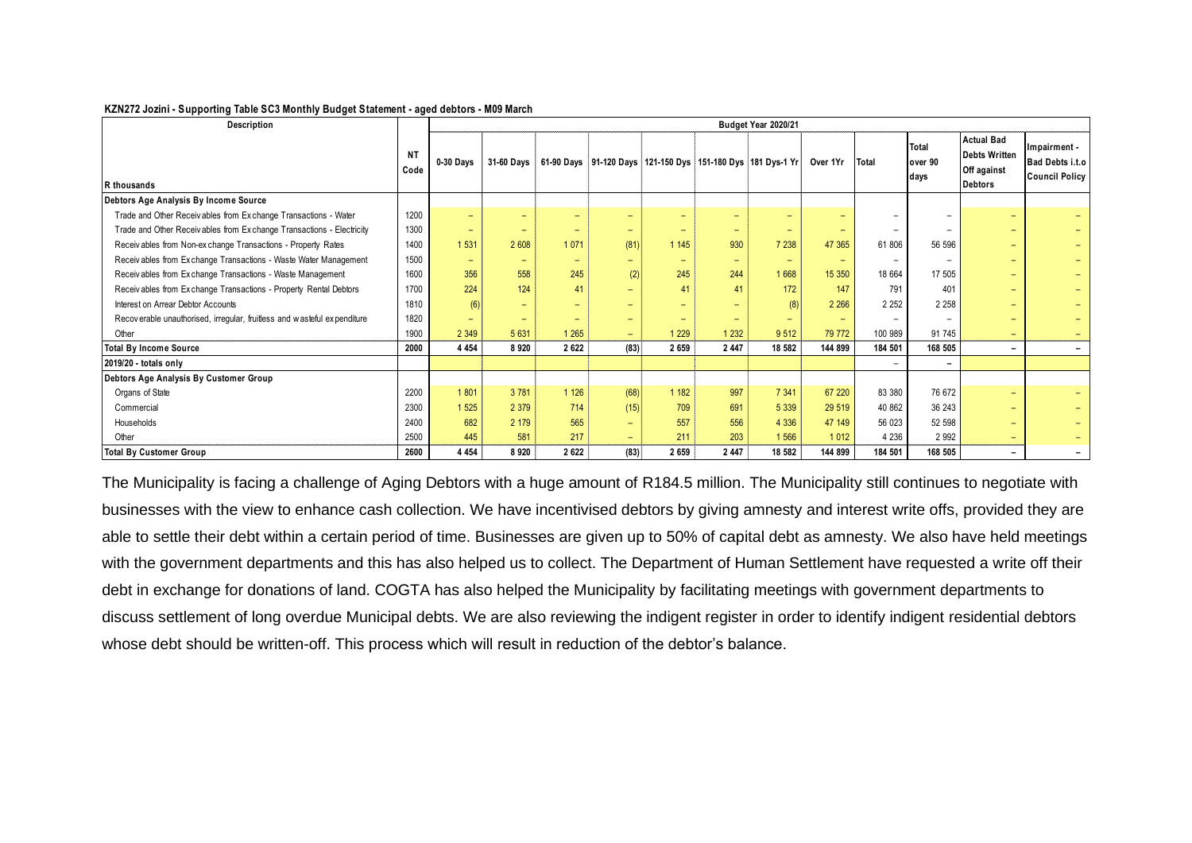#### **KZN272 Jozini - Supporting Table SC3 Monthly Budget Statement - aged debtors - M09 March**

| Description                                                             |            |                          |                          |                              |                          |                          |                          | Budget Year 2020/21                                         |                          |                          |                          |                                                                            |                                                           |
|-------------------------------------------------------------------------|------------|--------------------------|--------------------------|------------------------------|--------------------------|--------------------------|--------------------------|-------------------------------------------------------------|--------------------------|--------------------------|--------------------------|----------------------------------------------------------------------------|-----------------------------------------------------------|
| R thousands                                                             | NΤ<br>Code | 0-30 Days                | <b>31-60 Davs</b>        |                              |                          |                          |                          | 61-90 Days 91-120 Days 121-150 Dys 151-180 Dys 181 Dys-1 Yr | Over 1Yr                 | Total                    | Total<br>over 90<br>days | <b>Actual Bad</b><br><b>Debts Written</b><br>Off against<br><b>Debtors</b> | Ilmpairment -<br>Bad Debts i.t.o<br><b>Council Policy</b> |
| Debtors Age Analysis By Income Source                                   |            |                          |                          |                              |                          |                          |                          |                                                             |                          |                          |                          |                                                                            |                                                           |
| Trade and Other Receivables from Exchange Transactions - Water          | 1200       | $\overline{\phantom{0}}$ |                          | $\overline{\phantom{0}}$     | $\qquad \qquad$          | $\qquad \qquad$          | $\qquad \qquad$          | $\qquad \qquad$                                             |                          |                          |                          | -                                                                          |                                                           |
| Trade and Other Receivables from Exchange Transactions - Electricity    | 1300       | $\equiv$                 | $-$                      | $\overline{\phantom{0}}$     | $\equiv$                 | $\overline{\phantom{0}}$ | $\equiv$                 | $\qquad \qquad$                                             | $\qquad \qquad$          | $\overline{\phantom{0}}$ | $\overline{\phantom{0}}$ | -                                                                          |                                                           |
| Receivables from Non-exchange Transactions - Property Rates             | 1400       | 1 5 3 1                  | 2 608                    | 1071                         | (81)                     | 1 1 4 5                  | 930                      | 7 2 3 8                                                     | 47 365                   | 61 806                   | 56 596                   | -                                                                          |                                                           |
| Receivables from Exchange Transactions - Waste Water Management         | 1500       | $\overline{\phantom{0}}$ | $\overline{\phantom{0}}$ | $\qquad \qquad \blacksquare$ | $\equiv$                 | $\overline{\phantom{0}}$ | $\equiv$                 | $\overline{\phantom{0}}$                                    | $\overline{\phantom{0}}$ | $\overline{\phantom{0}}$ | $\overline{\phantom{0}}$ | -                                                                          |                                                           |
| Receivables from Exchange Transactions - Waste Management               |            | 356                      | 558                      | 245                          | (2)                      | 245                      | 244                      | 1 6 6 8                                                     | 15 350                   | 18 664                   | 17 505                   | $\overline{\phantom{0}}$                                                   |                                                           |
| Receivables from Exchange Transactions - Property Rental Debtors        | 1700       | 224                      | 124                      | 41                           | $\equiv$                 | 41                       | 41                       | 172                                                         | 147                      | 791                      | 401                      | -                                                                          |                                                           |
| Interest on Arrear Debtor Accounts                                      | 1810       | (6)                      | $\overline{\phantom{0}}$ | $\overline{\phantom{0}}$     | $\overline{\phantom{0}}$ | $\equiv$                 | $\equiv$                 | (8)                                                         | 2 2 6 6                  | 2 2 5 2                  | 2 2 5 8                  | $\overline{\phantom{0}}$                                                   |                                                           |
| Recoverable unauthorised, irregular, fruitless and wasteful expenditure | 1820       | $\overline{\phantom{0}}$ | $\overline{\phantom{0}}$ | $\overline{\phantom{0}}$     | $\equiv$                 | $\overline{\phantom{0}}$ | $\overline{\phantom{0}}$ | $\qquad \qquad$                                             | $\qquad \qquad$          |                          |                          | $\overline{\phantom{0}}$                                                   |                                                           |
| Other                                                                   | 1900       | 2 3 4 9                  | 5 6 31                   | 1 2 6 5                      | $\equiv$                 | 1 2 2 9                  | 1 2 3 2                  | 9 5 1 2                                                     | 79 772                   | 100 989                  | 91 745                   | -                                                                          |                                                           |
| <b>Total By Income Source</b>                                           | 2000       | 4 4 5 4                  | 8920                     | 2622                         | (83)                     | 2 6 5 9                  | 2 4 4 7                  | 18 582                                                      | 144 899                  | 184 501                  | 168 505                  | -                                                                          |                                                           |
| 2019/20 - totals only                                                   |            |                          |                          |                              |                          |                          |                          |                                                             |                          | $\overline{\phantom{0}}$ | $\overline{\phantom{a}}$ |                                                                            |                                                           |
| Debtors Age Analysis By Customer Group                                  |            |                          |                          |                              |                          |                          |                          |                                                             |                          |                          |                          |                                                                            |                                                           |
| Organs of State                                                         | 2200       | 1801                     | 3781                     | 1 1 2 6                      | (68)                     | 1 1 8 2                  | 997                      | 7 3 4 1                                                     | 67 220                   | 83 380                   | 76 672                   | -                                                                          |                                                           |
| Commercial                                                              | 2300       | 1 5 2 5                  | 2 3 7 9                  | 714                          | (15)                     | 709                      | 691                      | 5 3 3 9                                                     | 29 519                   | 40 862                   | 36 243                   | -                                                                          |                                                           |
| Households                                                              | 2400       | 682                      | 2 1 7 9                  | 565                          | $\equiv$                 | 557                      | 556                      | 4 3 3 6                                                     | 47 149                   | 56 023                   | 52 598                   | -                                                                          |                                                           |
| Other                                                                   | 2500       | 445                      | 581                      | 217                          | $\equiv$                 | 211                      | 203                      | 1566                                                        | 1 0 1 2                  | 4 2 3 6                  | 2 9 9 2                  | $\overline{\phantom{0}}$                                                   |                                                           |
| <b>Total By Customer Group</b>                                          | 2600       | 4 4 5 4                  | 8920                     | 2622                         | (83)                     | 2 6 5 9                  | 2 4 4 7                  | 18 582                                                      | 144 899                  | 184 501                  | 168 505                  | -                                                                          |                                                           |

<span id="page-5-0"></span>The Municipality is facing a challenge of Aging Debtors with a huge amount of R184.5 million. The Municipality still continues to negotiate with businesses with the view to enhance cash collection. We have incentivised debtors by giving amnesty and interest write offs, provided they are able to settle their debt within a certain period of time. Businesses are given up to 50% of capital debt as amnesty. We also have held meetings with the government departments and this has also helped us to collect. The Department of Human Settlement have requested a write off their debt in exchange for donations of land. COGTA has also helped the Municipality by facilitating meetings with government departments to discuss settlement of long overdue Municipal debts. We are also reviewing the indigent register in order to identify indigent residential debtors whose debt should be written-off. This process which will result in reduction of the debtor's balance.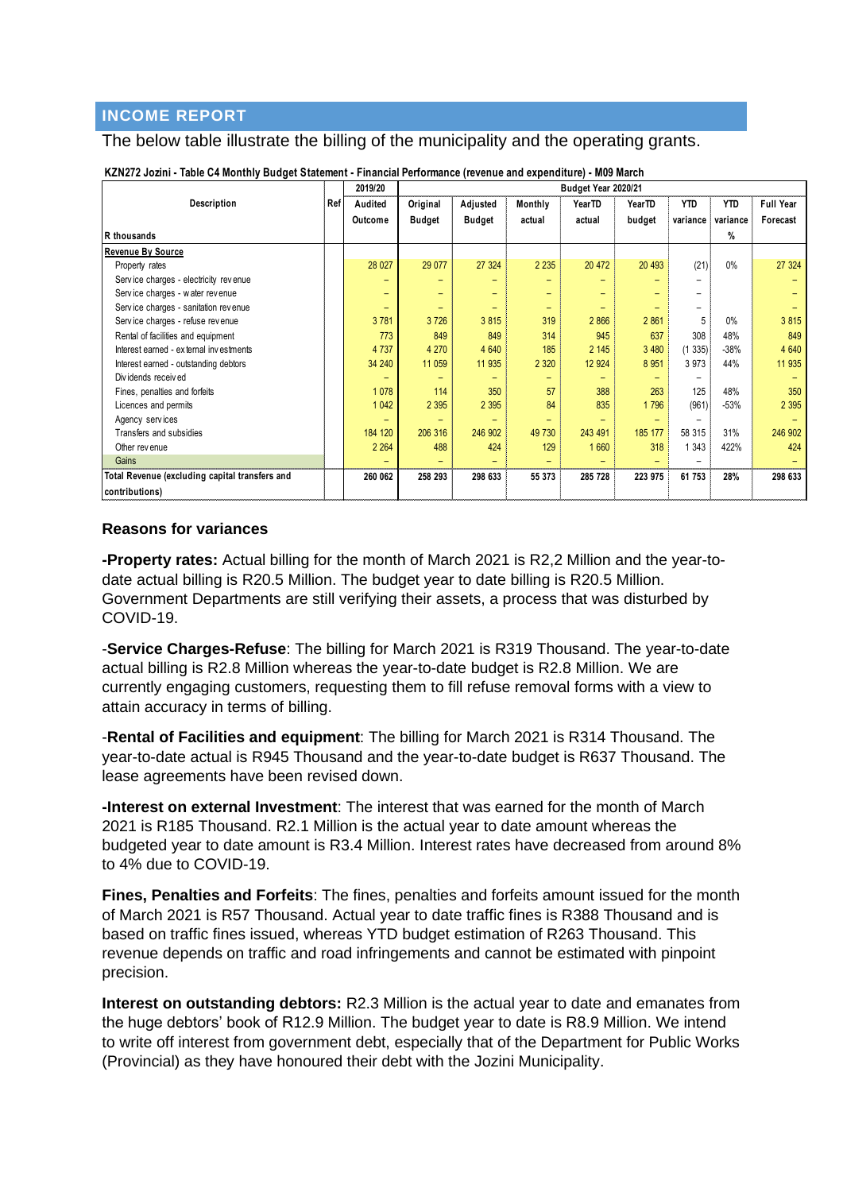# **INCOME REPORT**

#### The below table illustrate the billing of the municipality and the operating grants.

|                                                |  | 2019/20 | Budget Year 2020/21 |                          |                          |         |               |          |               |                  |  |  |  |
|------------------------------------------------|--|---------|---------------------|--------------------------|--------------------------|---------|---------------|----------|---------------|------------------|--|--|--|
| Description                                    |  | Audited | Original            | Adjusted                 | Monthly                  | YearTD  | <b>YearTD</b> | YTD      | YTD           | <b>Full Year</b> |  |  |  |
|                                                |  | Outcome | <b>Budget</b>       | Budget                   | actual                   | actual  | budget        | variance | variance      | Forecast         |  |  |  |
| R thousands                                    |  |         |                     |                          |                          |         |               |          | $\frac{9}{6}$ |                  |  |  |  |
| <b>Revenue By Source</b>                       |  |         |                     |                          |                          |         |               |          |               |                  |  |  |  |
| Property rates                                 |  | 28 0 27 | 29 077              | 27 324                   | 2 2 3 5                  | 20 472  | 20 4 93       | (21)     | $0\%$         | 27 324           |  |  |  |
| Service charges - electricity revenue          |  | -       | -                   |                          | -                        |         |               |          |               |                  |  |  |  |
| Service charges - water revenue                |  | -       | -                   |                          | $\overline{\phantom{0}}$ |         |               |          |               |                  |  |  |  |
| Service charges - sanitation revenue           |  |         |                     |                          |                          |         |               |          |               |                  |  |  |  |
| Service charges - refuse revenue               |  | 3781    | 3726                | 3815                     | 319                      | 2866    | 2 8 6 1       |          | $0\%$         | 3815             |  |  |  |
| Rental of facilities and equipment             |  | 773     | 849                 | 849                      | 314                      | 945     | 637           | 308      | 48%           | 849              |  |  |  |
| Interest earned - external investments         |  | 4 7 3 7 | 4 2 7 0             | 4 6 4 0                  | 185                      | 2 1 4 5 | 3 4 8 0       | (1335)   | $-38%$        | 4 6 4 0          |  |  |  |
| Interest earned - outstanding debtors          |  | 34 240  | 11 059              | 11 935                   | 2 3 2 0                  | 12 9 24 | 8 9 5 1       | 3 9 7 3  | 44%           | 11 935           |  |  |  |
| Dividends received                             |  | -       | -                   | $\overline{\phantom{0}}$ | -                        | -       |               | -        |               |                  |  |  |  |
| Fines, penalties and forfeits                  |  | 1 0 78  | 114                 | 350                      | 57                       | 388     | 263           | 125      | 48%           | 350              |  |  |  |
| Licences and permits                           |  | 1 0 4 2 | 2 3 9 5             | 2 3 9 5                  | 84                       | 835     | 1796          | (961)    | $-53%$        | 2 3 9 5          |  |  |  |
| Agency services                                |  |         |                     |                          |                          |         |               |          |               |                  |  |  |  |
| Transfers and subsidies                        |  | 184 120 | 206 316             | 246 902                  | 49 730                   | 243 491 | 185 177       | 58 315   | 31%           | 246 902          |  |  |  |
| Other revenue                                  |  | 2 2 6 4 | 488                 | 424                      | 129                      | 1660    | 318           | 1 3 4 3  | 422%          | 424              |  |  |  |
| Gains                                          |  |         |                     |                          |                          |         |               |          |               |                  |  |  |  |
| Total Revenue (excluding capital transfers and |  | 260 062 | 258 293             | 298 633                  | 55 373                   | 285 728 | 223 975       | 61 753   | 28%           | 298 633          |  |  |  |
| contributions)                                 |  |         |                     |                          |                          |         |               |          |               |                  |  |  |  |

**KZN272 Jozini - Table C4 Monthly Budget Statement - Financial Performance (revenue and expenditure) - M09 March**

#### **Reasons for variances**

**-Property rates:** Actual billing for the month of March 2021 is R2,2 Million and the year-todate actual billing is R20.5 Million. The budget year to date billing is R20.5 Million. Government Departments are still verifying their assets, a process that was disturbed by COVID-19.

-**Service Charges-Refuse**: The billing for March 2021 is R319 Thousand. The year-to-date actual billing is R2.8 Million whereas the year-to-date budget is R2.8 Million. We are currently engaging customers, requesting them to fill refuse removal forms with a view to attain accuracy in terms of billing.

-**Rental of Facilities and equipment**: The billing for March 2021 is R314 Thousand. The year-to-date actual is R945 Thousand and the year-to-date budget is R637 Thousand. The lease agreements have been revised down.

**-Interest on external Investment**: The interest that was earned for the month of March 2021 is R185 Thousand. R2.1 Million is the actual year to date amount whereas the budgeted year to date amount is R3.4 Million. Interest rates have decreased from around 8% to 4% due to COVID-19.

**Fines, Penalties and Forfeits**: The fines, penalties and forfeits amount issued for the month of March 2021 is R57 Thousand. Actual year to date traffic fines is R388 Thousand and is based on traffic fines issued, whereas YTD budget estimation of R263 Thousand. This revenue depends on traffic and road infringements and cannot be estimated with pinpoint precision.

**Interest on outstanding debtors:** R2.3 Million is the actual year to date and emanates from the huge debtors' book of R12.9 Million. The budget year to date is R8.9 Million. We intend to write off interest from government debt, especially that of the Department for Public Works (Provincial) as they have honoured their debt with the Jozini Municipality.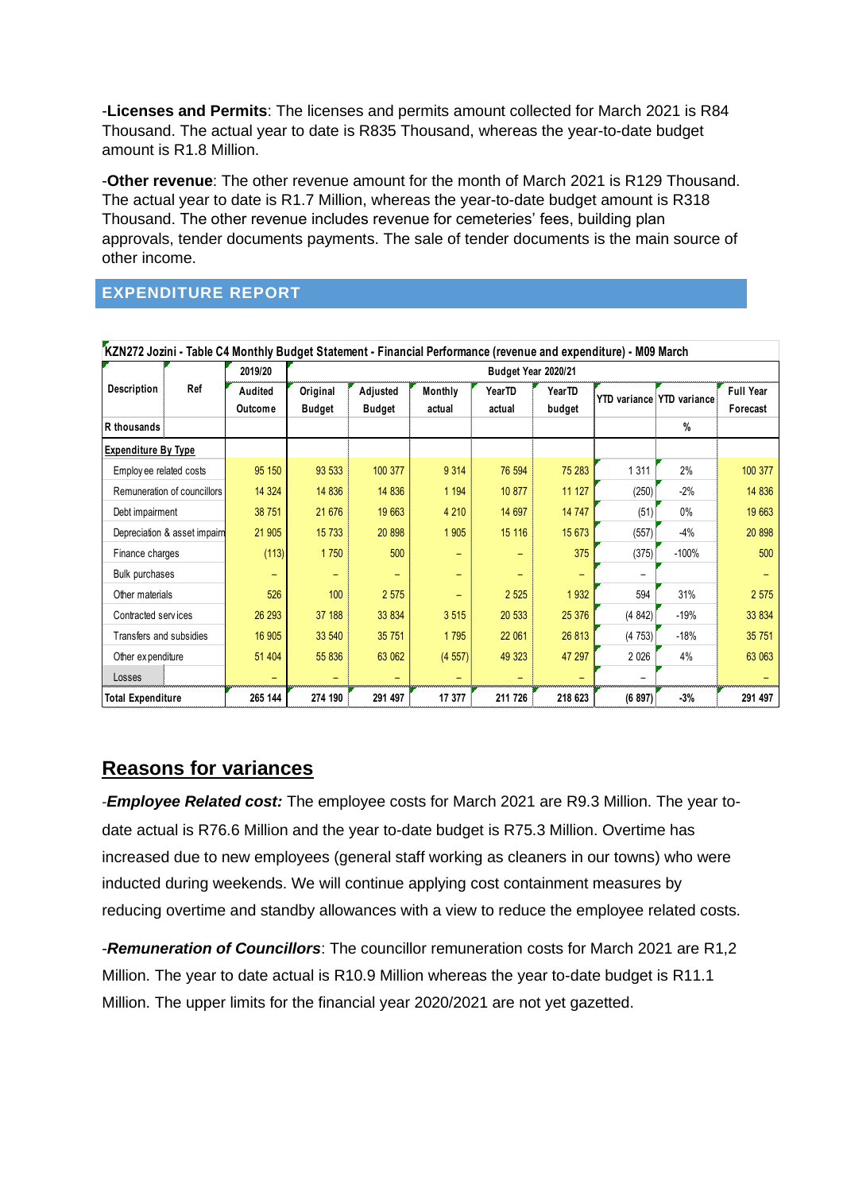-**Licenses and Permits**: The licenses and permits amount collected for March 2021 is R84 Thousand. The actual year to date is R835 Thousand, whereas the year-to-date budget amount is R1.8 Million.

-**Other revenue**: The other revenue amount for the month of March 2021 is R129 Thousand. The actual year to date is R1.7 Million, whereas the year-to-date budget amount is R318 Thousand. The other revenue includes revenue for cemeteries' fees, building plan approvals, tender documents payments. The sale of tender documents is the main source of other income.

# <span id="page-7-0"></span>**EXPENDITURE REPORT**

|                            |                              | KZN272 Jozini - Table C4 Monthly Budget Statement - Financial Performance (revenue and expenditure) - M09 March |               |               |                          |                     |                  |                                  |         |                  |
|----------------------------|------------------------------|-----------------------------------------------------------------------------------------------------------------|---------------|---------------|--------------------------|---------------------|------------------|----------------------------------|---------|------------------|
|                            |                              | 2019/20                                                                                                         |               |               |                          | Budget Year 2020/21 |                  |                                  |         |                  |
| Description                | Ref                          | Audited                                                                                                         | Original      | Adjusted      | Monthly                  | YearTD              | YearTD           | <b>YTD</b> variance YTD variance |         | <b>Full Year</b> |
|                            |                              | Outcome                                                                                                         | <b>Budget</b> | <b>Budget</b> | actual                   | actual              | budget           |                                  |         | Forecast         |
| R thousands                |                              |                                                                                                                 |               |               |                          |                     |                  |                                  | $\%$    |                  |
| <b>Expenditure By Type</b> |                              |                                                                                                                 |               |               |                          |                     |                  |                                  |         |                  |
| Employee related costs     |                              | 95 150                                                                                                          | 93 533        | 100 377       | 9 3 1 4                  | 76 594              | 75 283           | 1 3 1 1                          | 2%      | 100 377          |
|                            | Remuneration of councillors  | 14 3 24                                                                                                         | 14 836        | 14 8 36       | 1 1 9 4                  | 10 877              | 11 127           | (250)                            | $-2%$   | 14 836           |
|                            | Debt impairment              |                                                                                                                 | 21 676        | 19 663        | 4 2 1 0                  | 14 697              | 14 747           | (51)                             | $0\%$   | 19 663           |
|                            | Depreciation & asset impairn | 21 905                                                                                                          | 15 7 33       | 20 898        | 1 905                    | 15 116              | 15 673           | (557)                            | -4%     | 20 898           |
| Finance charges            |                              | (113)                                                                                                           | 1750          | 500           |                          | -                   | 375              | (375)                            | $-100%$ | 500              |
| Bulk purchases             |                              | $\overline{\phantom{0}}$                                                                                        |               |               | $\overline{\phantom{0}}$ | -                   |                  |                                  |         |                  |
| Other materials            |                              | 526                                                                                                             | 100           | 2 5 7 5       | $\overline{\phantom{0}}$ | 2 5 2 5             | 1 9 3 2          | 594                              | 31%     | 2 5 7 5          |
| Contracted services        |                              | 26 29 3                                                                                                         | 37 188        | 33 834        | 3 5 1 5                  | 20 533              | 25 376           | (4842)                           | $-19%$  | 33 834           |
| Transfers and subsidies    |                              | 16 905                                                                                                          | 33 540        | 35 751        | 1795                     | 22 061              | 26 813<br>(4753) |                                  | $-18%$  | 35 751           |
| Other expenditure          |                              | 51 404                                                                                                          | 55 836        | 63 062        | (4557)                   | 49 323              | 47 297           | 2026                             | 4%      | 63 063           |
| Losses                     |                              |                                                                                                                 |               |               |                          |                     |                  |                                  |         |                  |
| <b>Total Expenditure</b>   |                              | 265 144                                                                                                         | 274 190       | 291 497       | 17 377                   | 211 726             | 218 623          | (6897)                           | $-3%$   | 291 497          |

# **Reasons for variances**

*-Employee Related cost:* The employee costs for March 2021 are R9.3 Million. The year todate actual is R76.6 Million and the year to-date budget is R75.3 Million. Overtime has increased due to new employees (general staff working as cleaners in our towns) who were inducted during weekends. We will continue applying cost containment measures by reducing overtime and standby allowances with a view to reduce the employee related costs.

-*Remuneration of Councillors*: The councillor remuneration costs for March 2021 are R1,2 Million. The year to date actual is R10.9 Million whereas the year to-date budget is R11.1 Million. The upper limits for the financial year 2020/2021 are not yet gazetted.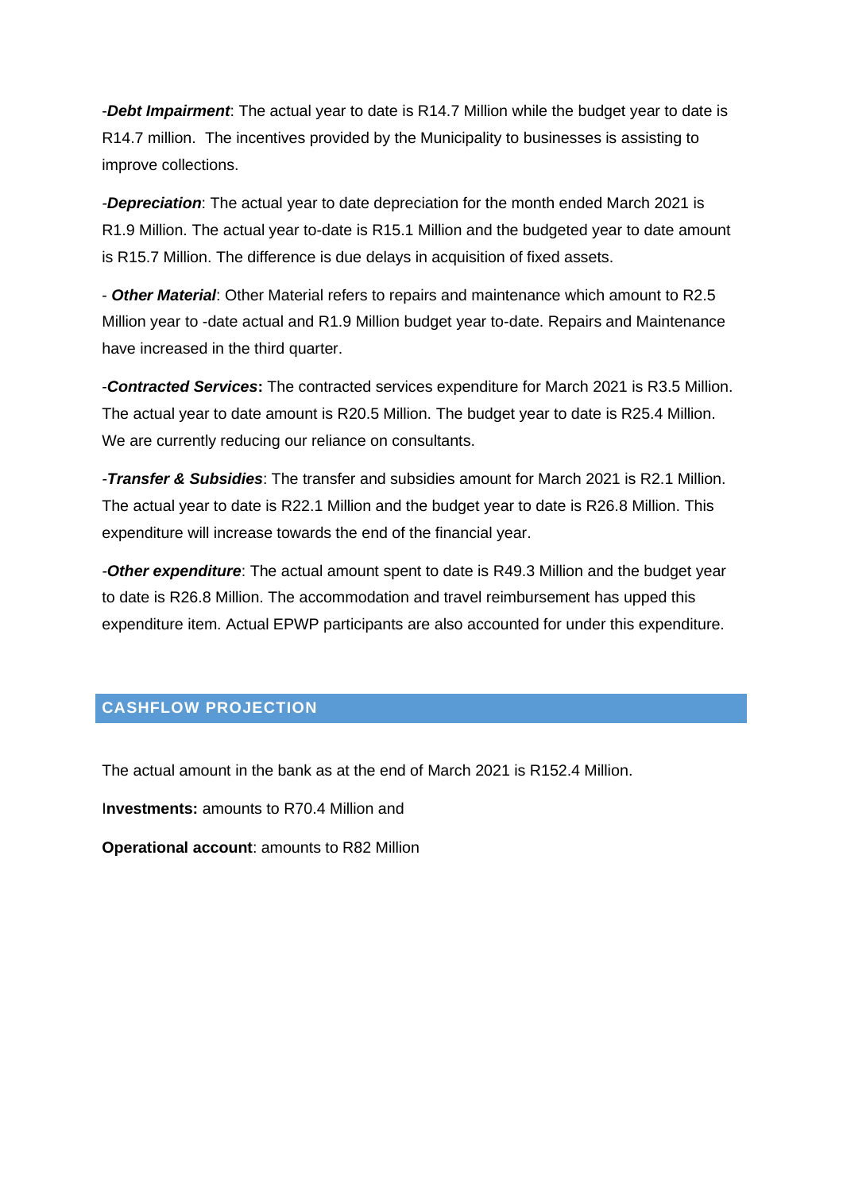-*Debt Impairment*: The actual year to date is R14.7 Million while the budget year to date is R14.7 million. The incentives provided by the Municipality to businesses is assisting to improve collections.

*-Depreciation*: The actual year to date depreciation for the month ended March 2021 is R1.9 Million. The actual year to-date is R15.1 Million and the budgeted year to date amount is R15.7 Million. The difference is due delays in acquisition of fixed assets.

- *Other Material*: Other Material refers to repairs and maintenance which amount to R2.5 Million year to -date actual and R1.9 Million budget year to-date. Repairs and Maintenance have increased in the third quarter.

-*Contracted Services***:** The contracted services expenditure for March 2021 is R3.5 Million. The actual year to date amount is R20.5 Million. The budget year to date is R25.4 Million. We are currently reducing our reliance on consultants.

*-Transfer & Subsidies*: The transfer and subsidies amount for March 2021 is R2.1 Million. The actual year to date is R22.1 Million and the budget year to date is R26.8 Million. This expenditure will increase towards the end of the financial year.

*-Other expenditure*: The actual amount spent to date is R49.3 Million and the budget year to date is R26.8 Million. The accommodation and travel reimbursement has upped this expenditure item. Actual EPWP participants are also accounted for under this expenditure.

### <span id="page-8-0"></span>**CASHFLOW PROJECTION**

The actual amount in the bank as at the end of March 2021 is R152.4 Million.

I**nvestments:** amounts to R70.4 Million and

**Operational account**: amounts to R82 Million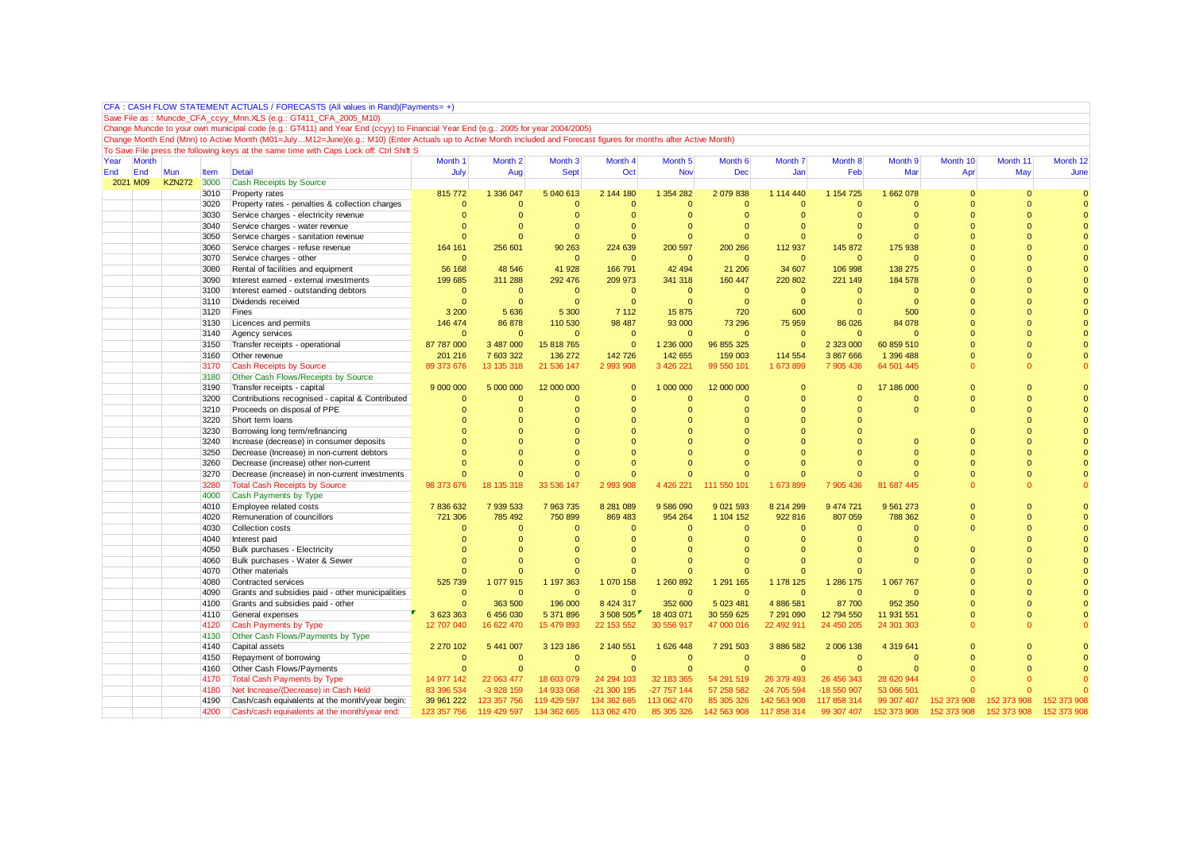|      |              |             |      | CFA: CASH FLOW STATEMENT ACTUALS / FORECASTS (All values in Rand)(Payments= +                                                                                       |              |                    |                    |                |                    |                    |              |                |                    |               |                |                     |
|------|--------------|-------------|------|---------------------------------------------------------------------------------------------------------------------------------------------------------------------|--------------|--------------------|--------------------|----------------|--------------------|--------------------|--------------|----------------|--------------------|---------------|----------------|---------------------|
|      |              |             |      | Save File as: Muncde_CFA_ccyy_Mnn.XLS (e.g.: GT411_CFA_2005_M10)                                                                                                    |              |                    |                    |                |                    |                    |              |                |                    |               |                |                     |
|      |              |             |      | Change Muncde to your own municipal code (e.g.: GT411) and Year End (ccyy) to Financial Year End (e.g.: 2005 for year 2004/2005)                                    |              |                    |                    |                |                    |                    |              |                |                    |               |                |                     |
|      |              |             |      | Change Month End (Mnn) to Active Month (M01=JulyM12=June)(e.g.: M10) (Enter Actuals up to Active Month included and Forecast figures for months after Active Month) |              |                    |                    |                |                    |                    |              |                |                    |               |                |                     |
|      |              |             |      | To Save File press the following keys at the same time with Caps Lock off: Ctrl Shift S                                                                             |              |                    |                    |                |                    |                    |              |                |                    |               |                |                     |
| Year | <b>Month</b> |             |      |                                                                                                                                                                     | Month 1      | Month <sub>2</sub> | Month <sub>3</sub> | Month 4        | Month <sub>5</sub> | Month <sub>6</sub> | Month 7      | Month 8        | Month <sub>9</sub> | Month 10      | Month 11       | Month <sub>12</sub> |
| End  | End          | Mun         | Item | <b>Detail</b>                                                                                                                                                       | July         | Aug                | <b>Sept</b>        | Oct            | <b>Nov</b>         | <b>Dec</b>         | Jan          | Feb            | Mar                | Apr           | May            | June                |
|      | 2021 M09     | KZN272 3000 |      | <b>Cash Receipts by Source</b>                                                                                                                                      |              |                    |                    |                |                    |                    |              |                |                    |               |                |                     |
|      |              |             | 3010 | Property rates                                                                                                                                                      | 815 772      | 1 336 047          | 5 040 613          | 2 144 180      | 1 354 282          | 2 079 838          | 1 114 440    | 1 154 725      | 1 662 078          | $\Omega$      | $\Omega$       |                     |
|      |              |             | 3020 | Property rates - penalties & collection charges                                                                                                                     | $\Omega$     | $\Omega$           | $\Omega$           | $\Omega$       | $\Omega$           | $\Omega$           | $\Omega$     | $\Omega$       | $\Omega$           | $\mathcal{C}$ | $\Omega$       |                     |
|      |              |             | 3030 | Service charges - electricity revenue                                                                                                                               | $\Omega$     | $\Omega$           | $\Omega$           | $\Omega$       | $\Omega$           | $\Omega$           | $\Omega$     | $\Omega$       | $\Omega$           | $\Omega$      | $\Omega$       |                     |
|      |              |             | 3040 | Service charges - water revenue                                                                                                                                     |              | $\Omega$           | $\Omega$           | $\Omega$       | $\Omega$           | $\Omega$           | $\Omega$     | $\Omega$       | $\Omega$           | $\Omega$      | $\Omega$       |                     |
|      |              |             | 3050 | Service charges - sanitation revenue                                                                                                                                | $\Omega$     | $\Omega$           | $\Omega$           | $\overline{0}$ | $\Omega$           | $\Omega$           | $\Omega$     | $\Omega$       | $\Omega$           | $\Omega$      | $\Omega$       |                     |
|      |              |             | 3060 | Service charges - refuse revenue                                                                                                                                    | 164 161      | 256 601            | 90 263             | 224 639        | 200 597            | 200 266            | 112 937      | 145 872        | 175 938            | $\Omega$      | $\Omega$       | $\Omega$            |
|      |              |             | 3070 | Service charges - other                                                                                                                                             | $\Omega$     |                    | $\Omega$           | $\overline{0}$ | $\overline{0}$     | $\Omega$           | $\mathbf{0}$ | $\overline{0}$ | $\Omega$           | $\Omega$      | $\Omega$       | $\Omega$            |
|      |              |             | 3080 | Rental of facilities and equipment                                                                                                                                  | 56 168       | 48 546             | 41 928             | 166 791        | 42 4 94            | 21 20 6            | 34 607       | 106 998        | 138 275            | $\Omega$      | $\Omega$       |                     |
|      |              |             | 3090 | Interest earned - external investments                                                                                                                              | 199 685      | 311 288            | 292 476            | 209 973        | 341 318            | 160 447            | 220 802      | 221 149        | 184 578            | $\Omega$      | $\Omega$       |                     |
|      |              |             | 3100 | Interest earned - outstanding debtors                                                                                                                               | $\mathbf{0}$ | $\overline{0}$     | $\mathbf{0}$       | $\mathbf{0}$   | $\overline{0}$     | $\overline{0}$     | $\mathbf{0}$ | $\mathbf{0}$   | $\Omega$           | $\Omega$      | $\mathbf{0}$   | $\Omega$            |
|      |              |             | 3110 | Dividends received                                                                                                                                                  | $\Omega$     | $\Omega$           | $\Omega$           | $\mathbf{0}$   | $\Omega$           | $\overline{0}$     | $\Omega$     | $\Omega$       | $\Omega$           | $\Omega$      | $\Omega$       | $\Omega$            |
|      |              |             | 3120 | Fines                                                                                                                                                               | 3 200        | 5 6 3 6            | 5 300              | 7 1 1 2        | 15 875             | 720                | 600          | $\Omega$       | 500                | $\Omega$      | $\Omega$       |                     |
|      |              |             | 3130 | Licences and permits                                                                                                                                                | 146 474      | 86 878             | 110 530            | 98 487         | 93 000             | 73 296             | 75 959       | 86 0 26        | 84 078             | $\Omega$      | $\Omega$       | $\Omega$            |
|      |              |             | 3140 | Agency services                                                                                                                                                     | $\Omega$     | $\mathbf{0}$       | $\Omega$           | $\mathbf{0}$   | $\mathbf{0}$       | $\Omega$           | $\mathbf{0}$ | $\mathbf{0}$   | $\Omega$           | $\Omega$      | $\Omega$       | $\Omega$            |
|      |              |             | 3150 | Transfer receipts - operational                                                                                                                                     | 87 787 000   | 3 487 000          | 15 818 765         | $\overline{0}$ | 1 236 000          | 96 855 325         | $\Omega$     | 2 323 000      | 60 859 510         | $\Omega$      | $\Omega$       |                     |
|      |              |             | 3160 | Other revenue                                                                                                                                                       | 201 216      | 7 603 322          | 136 272            | 142 726        | 142 655            | 159 003            | 114 554      | 3 867 666      | 1 396 488          | $\Omega$      | $\Omega$       | $\Omega$            |
|      |              |             | 3170 | <b>Cash Receipts by Source</b>                                                                                                                                      | 89 373 676   | 13 135 318         | 21 536 147         | 2 993 908      | 3 426 221          | 99 550 101         | 1 673 899    | 7 905 436      | 64 501 445         | n             | $\Omega$       |                     |
|      |              |             | 3180 | Other Cash Flows/Receipts by Source                                                                                                                                 |              |                    |                    |                |                    |                    |              |                |                    |               |                |                     |
|      |              |             | 3190 | Transfer receipts - capital                                                                                                                                         | 9 000 000    | 5 000 000          | 12 000 000         | $\Omega$       | 1 000 000          | 12 000 000         | $\Omega$     | $\Omega$       | 17 186 000         | $\Omega$      | $\overline{0}$ |                     |
|      |              |             | 3200 | Contributions recognised - capital & Contributed                                                                                                                    | $\Omega$     | $\Omega$           | $\Omega$           | $\Omega$       | $\Omega$           | $\Omega$           | $\Omega$     | $\Omega$       | $\Omega$           | $\Omega$      | $\Omega$       | $\Omega$            |
|      |              |             | 3210 | Proceeds on disposal of PPE                                                                                                                                         | $\Omega$     | $\overline{0}$     | $\Omega$           | $\Omega$       | $\overline{0}$     | $\Omega$           | $\Omega$     | $\Omega$       | $\Omega$           | $\Omega$      | $\mathbf{0}$   |                     |
|      |              |             | 3220 | Short term loans                                                                                                                                                    |              | $\Omega$           | $\Omega$           | $\Omega$       | $\Omega$           | $\Omega$           | $\Omega$     |                |                    |               | $\Omega$       | $\Omega$            |
|      |              |             | 3230 | Borrowing long term/refinancing                                                                                                                                     |              | $\Omega$           |                    | $\Omega$       |                    | $\Omega$           |              |                |                    | $\Omega$      | $\Omega$       |                     |
|      |              |             | 3240 | Increase (decrease) in consumer deposits                                                                                                                            |              | $\Omega$           | $\Omega$           | $\Omega$       | n                  | $\Omega$           | $\Omega$     | $\sqrt{ }$     | $\Omega$           | $\Omega$      | $\Omega$       |                     |
|      |              |             | 3250 | Decrease (Increase) in non-current debtors                                                                                                                          |              | $\Omega$           | $\Omega$           | $\Omega$       |                    | $\Omega$           | $\Omega$     | C              | $\Omega$           | $\Omega$      | $\Omega$       | $\Omega$            |
|      |              |             | 3260 | Decrease (increase) other non-current                                                                                                                               |              | $\Omega$           |                    | $\Omega$       | $\Omega$           | $\Omega$           | $\Omega$     | $\Omega$       | $\Omega$           | $\Omega$      | $\Omega$       |                     |
|      |              |             | 3270 | Decrease (increase) in non-current investments                                                                                                                      |              | $\Omega$           | $\Omega$           | $\Omega$       | $\Omega$           | $\Omega$           | $\Omega$     | $\Omega$       | $\Omega$           | $\Omega$      | $\mathbf{0}$   | $\Omega$            |
|      |              |             | 3280 | <b>Total Cash Receipts by Source</b>                                                                                                                                | 98 373 676   | 18 135 318         | 33 536 147         | 2 993 908      | 4 4 2 6 2 2 1      | 111 550 101        | 1 673 899    | 7 905 436      | 81 687 445         | $\Omega$      | $\Omega$       |                     |
|      |              |             | 4000 | Cash Payments by Type                                                                                                                                               |              |                    |                    |                |                    |                    |              |                |                    |               |                |                     |
|      |              |             | 4010 | Employee related costs                                                                                                                                              | 7836632      | 7 939 533          | 7 963 735          | 8 281 089      | 9 586 090          | 9 0 21 5 9 3       | 8 214 299    | 9 474 721      | 9 5 61 273         | $\Omega$      | $\mathbf{0}$   |                     |
|      |              |             | 4020 | Remuneration of councillors                                                                                                                                         | 721 306      | 785 492            | 750 899            | 869 483        | 954 264            | 1 104 152          | 922 816      | 807 059        | 788 362            | $\Omega$      | $\overline{0}$ | $\Omega$            |
|      |              |             | 4030 | <b>Collection costs</b>                                                                                                                                             | $\Omega$     | $\Omega$           | $\Omega$           | $\Omega$       | $\Omega$           | $\Omega$           | $\Omega$     | $\Omega$       | $\Omega$           | $\Omega$      | $\Omega$       | $\Omega$            |
|      |              |             | 4040 | Interest paid                                                                                                                                                       |              | $\Omega$           | $\Omega$           | $\Omega$       | $\Omega$           | $\Omega$           | $\Omega$     | $\Omega$       | $\Omega$           |               | $\Omega$       |                     |
|      |              |             | 4050 | Bulk purchases - Electricity                                                                                                                                        |              | $\Omega$           | $\Omega$           | $\Omega$       | $\Omega$           | $\Omega$           | $\Omega$     | $\Omega$       | $\Omega$           | $\Omega$      | $\Omega$       | $\Omega$            |
|      |              |             | 4060 | Bulk purchases - Water & Sewer                                                                                                                                      |              | $\Omega$           | $\Omega$           | $\Omega$       | $\Omega$           | $\Omega$           | $\Omega$     | $\Omega$       | $\Omega$           | $\Omega$      | $\overline{0}$ |                     |
|      |              |             | 4070 | Other materials                                                                                                                                                     | $\Omega$     | $\Omega$           | $\Omega$           | $\overline{0}$ | $\Omega$           | $\Omega$           | $\Omega$     | $\Omega$       |                    | $\Omega$      | $\Omega$       | $\Omega$            |
|      |              |             | 4080 | Contracted services                                                                                                                                                 | 525 739      | 1 077 915          | 1 197 363          | 1 070 158      | 1 260 892          | 1 291 165          | 1 178 125    | 1 286 175      | 1 067 767          | $\Omega$      | $\Omega$       |                     |
|      |              |             | 4090 |                                                                                                                                                                     | $\Omega$     | $\Omega$           | $\mathbf{0}$       | $\mathbf{0}$   | $\Omega$           | $\Omega$           | $\Omega$     | $\mathbf{0}$   | $\Omega$           | $\Omega$      | $\Omega$       |                     |
|      |              |             |      | Grants and subsidies paid - other municipalities                                                                                                                    | $\Omega$     | 363 500            | 196 000            |                |                    |                    | 4 886 581    | 87 700         |                    | $\Omega$      | $\mathbf{0}$   |                     |
|      |              |             | 4100 | Grants and subsidies paid - other                                                                                                                                   |              |                    |                    | 8 4 2 4 3 1 7  | 352 600            | 5 0 23 4 81        |              |                | 952 350            |               |                |                     |
|      |              |             | 4110 | General expenses                                                                                                                                                    | 3 623 363    | 6 456 030          | 5 371 896          | 3 508 505      | 18 403 071         | 30 559 625         | 7 291 090    | 12 794 550     | 11 931 551         | $\Omega$<br>n | $\Omega$       |                     |
|      |              |             | 4120 | Cash Payments by Type                                                                                                                                               | 12 707 040   | 16 622 470         | 15 479 893         | 22 153 552     | 30 556 917         | 47 000 016         | 22 492 911   | 24 450 205     | 24 301 303         |               | $\Omega$       |                     |
|      |              |             | 4130 | Other Cash Flows/Payments by Type                                                                                                                                   |              |                    |                    |                |                    |                    |              |                |                    |               |                |                     |
|      |              |             | 4140 | Capital assets                                                                                                                                                      | 2 270 102    | 5 441 007          | 3 123 186          | 2 140 551      | 1 626 448          | 7 291 503          | 3 886 582    | 2 006 138      | 4 319 641          | $\Omega$      | $\Omega$       |                     |
|      |              |             | 4150 | Repayment of borrowing                                                                                                                                              | $\Omega$     | $\mathbf{0}$       | $\mathbf{0}$       | $\mathbf{0}$   | $\overline{0}$     | $\overline{0}$     | $\mathbf{0}$ | $\Omega$       | $\Omega$           | $\Omega$      | $\Omega$       |                     |
|      |              |             | 4160 | Other Cash Flows/Payments                                                                                                                                           | $\mathbf{0}$ | $\mathbf{0}$       | $\mathbf{0}$       | $\mathbf{0}$   | $\mathbf{0}$       | $\overline{0}$     | $\mathbf{0}$ | $\overline{0}$ | $\Omega$           | $\Omega$      | $\Omega$       |                     |
|      |              |             | 4170 | <b>Total Cash Payments by Type</b>                                                                                                                                  | 14 977 142   | 22 063 477         | 18 603 079         | 24 294 103     | 32 183 365         | 54 291 519         | 26 379 493   | 26 456 343     | 28 620 944         |               |                |                     |
|      |              |             | 4180 | Net Increase/(Decrease) in Cash Held                                                                                                                                | 83 396 534   | $-3928159$         | 14 933 068         | -21 300 195    | -27 757 144        | 57 258 582         | -24 705 594  | -18 550 907    | 53 066 501         |               |                |                     |
|      |              |             | 4190 | Cash/cash equivalents at the month/year begin:                                                                                                                      | 39 961 222   | 123 357 756        | 119 429 597        | 134 362 665    | 113 062 470        | 85 305 326         | 142 563 908  | 117 858 314    | 99 307 407         | 152 373 908   | 152 373 908    | 152 373 908         |
|      |              |             | 4200 | Cash/cash equivalents at the month/year end:                                                                                                                        | 123 357 756  | 119 429 597        | 134 362 665        | 113 062 470    | 85 305 326         | 142 563 908        | 117 858 314  | 99 307 407     | 152 373 908        | 152 373 908   | 152 373 908    | 152 373 908         |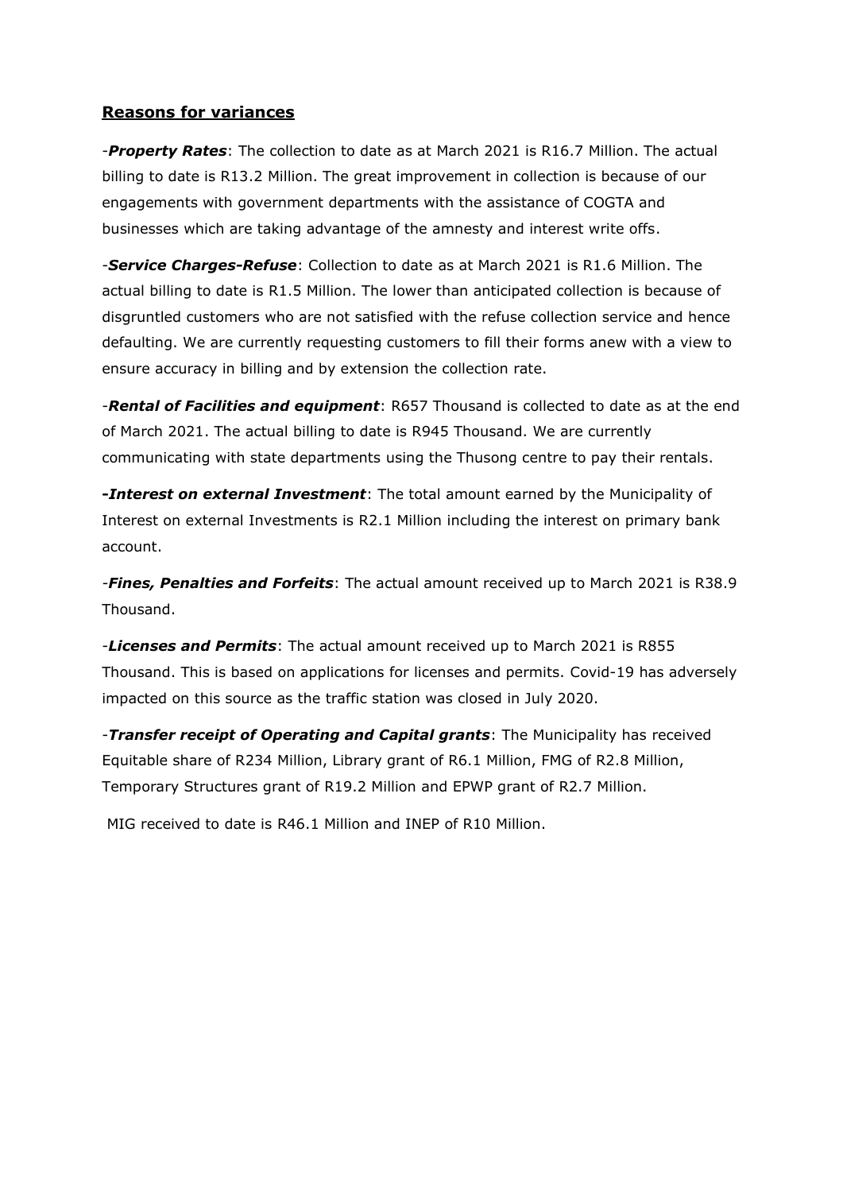### **Reasons for variances**

-*Property Rates*: The collection to date as at March 2021 is R16.7 Million. The actual billing to date is R13.2 Million. The great improvement in collection is because of our engagements with government departments with the assistance of COGTA and businesses which are taking advantage of the amnesty and interest write offs.

-*Service Charges-Refuse*: Collection to date as at March 2021 is R1.6 Million. The actual billing to date is R1.5 Million. The lower than anticipated collection is because of disgruntled customers who are not satisfied with the refuse collection service and hence defaulting. We are currently requesting customers to fill their forms anew with a view to ensure accuracy in billing and by extension the collection rate.

-*Rental of Facilities and equipment*: R657 Thousand is collected to date as at the end of March 2021. The actual billing to date is R945 Thousand. We are currently communicating with state departments using the Thusong centre to pay their rentals.

**-***Interest on external Investment*: The total amount earned by the Municipality of Interest on external Investments is R2.1 Million including the interest on primary bank account.

*-Fines, Penalties and Forfeits*: The actual amount received up to March 2021 is R38.9 Thousand.

-*Licenses and Permits*: The actual amount received up to March 2021 is R855 Thousand. This is based on applications for licenses and permits. Covid-19 has adversely impacted on this source as the traffic station was closed in July 2020.

-*Transfer receipt of Operating and Capital grants*: The Municipality has received Equitable share of R234 Million, Library grant of R6.1 Million, FMG of R2.8 Million, Temporary Structures grant of R19.2 Million and EPWP grant of R2.7 Million.

MIG received to date is R46.1 Million and INEP of R10 Million.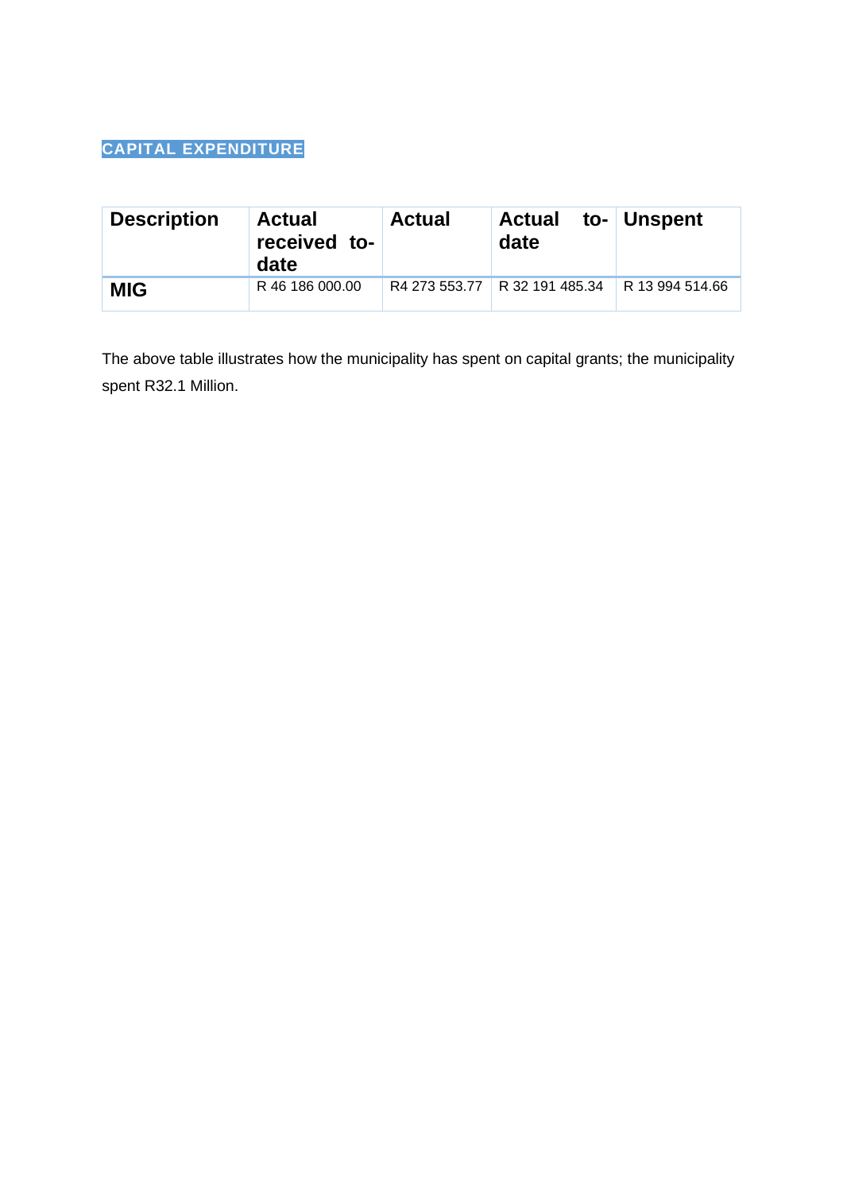# **CAPITAL EXPENDITURE**

| <b>Description</b> | <b>Actual</b><br>received to-<br>date | <b>Actual</b> | Actual to- Unspent<br>date    |                 |
|--------------------|---------------------------------------|---------------|-------------------------------|-----------------|
| <b>MIG</b>         | R 46 186 000.00                       |               | R4 273 553.77 R 32 191 485.34 | R 13 994 514.66 |

The above table illustrates how the municipality has spent on capital grants; the municipality spent R32.1 Million.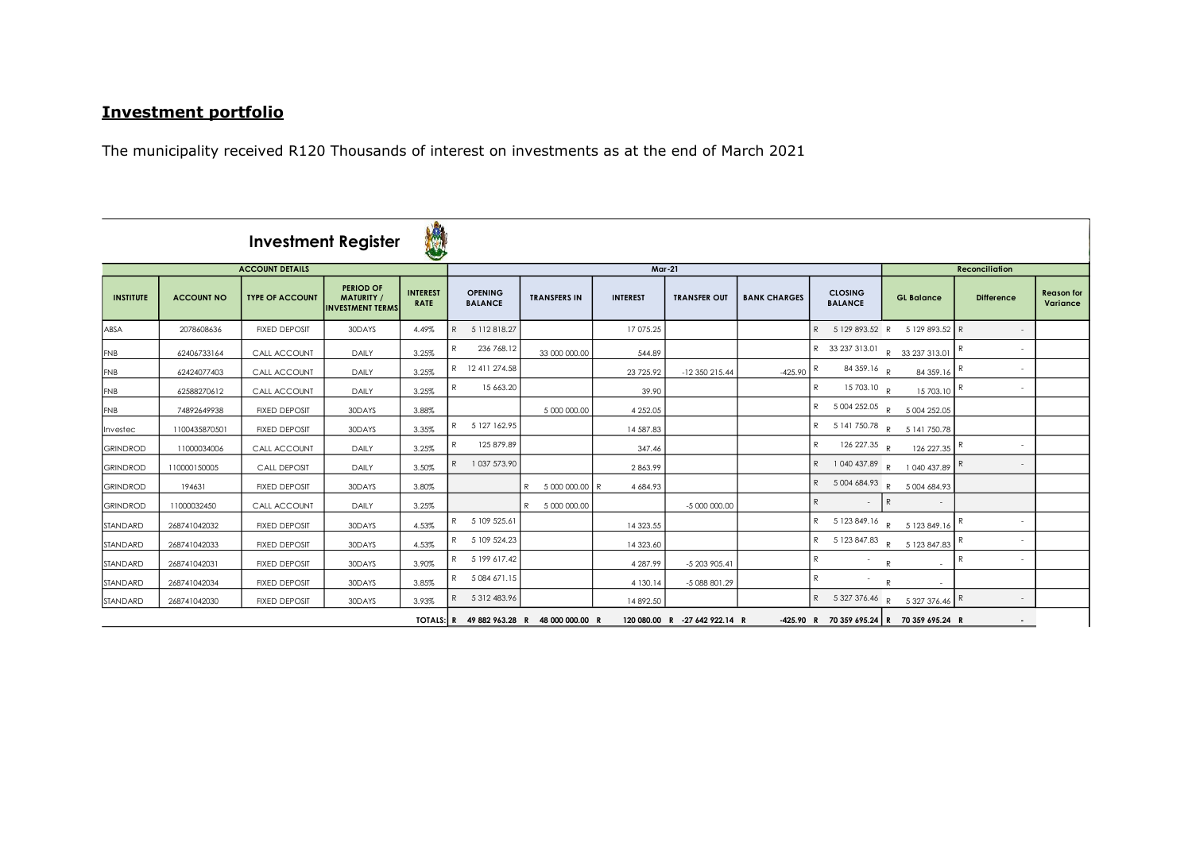# **Investment portfolio**

The municipality received R120 Thousands of interest on investments as at the end of March 2021

|                  |                   |                        | <b>Investment Register</b>                                       | N                              |                                  |           |                                           |                 |                               |                     |   |                                  |              |                                           |                       |                   |                               |
|------------------|-------------------|------------------------|------------------------------------------------------------------|--------------------------------|----------------------------------|-----------|-------------------------------------------|-----------------|-------------------------------|---------------------|---|----------------------------------|--------------|-------------------------------------------|-----------------------|-------------------|-------------------------------|
|                  |                   | <b>ACCOUNT DETAILS</b> |                                                                  |                                | <b>Mar-21</b>                    |           |                                           |                 |                               |                     |   |                                  |              |                                           | <b>Reconciliation</b> |                   |                               |
| <b>INSTITUTE</b> | <b>ACCOUNT NO</b> | <b>TYPE OF ACCOUNT</b> | <b>PERIOD OF</b><br><b>MATURITY</b> /<br><b>INVESTMENT TERMS</b> | <b>INTEREST</b><br><b>RATE</b> | <b>OPENING</b><br><b>BALANCE</b> |           | <b>TRANSFERS IN</b>                       | <b>INTEREST</b> | <b>TRANSFER OUT</b>           | <b>BANK CHARGES</b> |   | <b>CLOSING</b><br><b>BALANCE</b> |              | <b>GL Balance</b>                         |                       | <b>Difference</b> | <b>Reason for</b><br>Variance |
| ABSA             | 2078608636        | <b>FIXED DEPOSIT</b>   | 30DAYS                                                           | 4.49%                          | 5 112 818.27<br>R                |           |                                           | 17 075.25       |                               |                     |   |                                  |              | R 5 129 893.52 R 5 129 893.52 R           |                       |                   |                               |
| <b>FNB</b>       | 62406733164       | CALL ACCOUNT           | DAILY                                                            | 3.25%                          | 236 768.12<br>R                  |           | 33 000 000.00                             | 544.89          |                               |                     |   |                                  |              | R 33 237 313.01 R 33 237 313.01 R         |                       |                   |                               |
| <b>FNB</b>       | 62424077403       | CALL ACCOUNT           | DAILY                                                            | 3.25%                          | R 12 411 274.58                  |           |                                           | 23 725.92       | -12 350 215.44                | $-425.90$           |   | 84 359.16 R                      |              | 84 359.16                                 |                       |                   |                               |
| <b>FNB</b>       | 62588270612       | CALL ACCOUNT           | DAILY                                                            | 3.25%                          | R                                | 15 663.20 |                                           | 39.90           |                               |                     | R | 15 703.10 $\frac{1}{R}$          |              | $15703.10$ R                              |                       | $\sim$            |                               |
| <b>FNB</b>       | 74892649938       | <b>FIXED DEPOSIT</b>   | 30DAYS                                                           | 3.88%                          |                                  |           | 5 000 000.00                              | 4 2 5 2.05      |                               |                     |   |                                  |              | R 5 004 252.05 R 5 004 252.05             |                       |                   |                               |
| Investec         | 1100435870501     | <b>FIXED DEPOSIT</b>   | 30DAYS                                                           | 3.35%                          | R<br>5 127 162.95                |           |                                           | 14 587.83       |                               |                     |   |                                  |              | R 5 141 750.78 R 5 141 750.78             |                       |                   |                               |
| <b>GRINDROD</b>  | 11000034006       | CALL ACCOUNT           | DAILY                                                            | 3.25%                          | 125 879.89<br>$\mathsf{R}$       |           |                                           | 347.46          |                               |                     |   | R 126 227.35 R                   |              | 126227.35 R                               |                       |                   |                               |
| <b>GRINDROD</b>  | 110000150005      | <b>CALL DEPOSIT</b>    | DAILY                                                            | 3.50%                          | 1 037 573.90<br>$\mathsf{R}$     |           |                                           | 2863.99         |                               |                     |   |                                  |              | R 1 040 437.89 R 1 040 437.89 R           |                       | $\sim$            |                               |
| <b>GRINDROD</b>  | 194631            | <b>FIXED DEPOSIT</b>   | 30DAYS                                                           | 3.80%                          |                                  |           | 5 000 000.00 R<br>R                       | 4 684.93        |                               |                     |   |                                  |              | R 5 004 684.93 R 5 004 684.93             |                       |                   |                               |
| <b>GRINDROD</b>  | 11000032450       | CALL ACCOUNT           | DAILY                                                            | 3.25%                          |                                  |           | R 5 000 000.00                            |                 | -5 000 000.00                 |                     | R | $-R$                             |              | $\sim$                                    |                       |                   |                               |
| STANDARD         | 268741042032      | <b>FIXED DEPOSIT</b>   | 30DAYS                                                           | 4.53%                          | R 5 109 525.61                   |           |                                           | 14 323.55       |                               |                     |   |                                  |              | R 5 123 849.16 R 5 123 849.16 R           |                       |                   |                               |
| STANDARD         | 268741042033      | <b>FIXED DEPOSIT</b>   | 30DAYS                                                           | 4.53%                          | 5 109 524.23<br>R                |           |                                           | 14 323.60       |                               |                     |   |                                  |              | R 5 123 847.83 R 5 123 847.83 R           |                       |                   |                               |
| STANDARD         | 268741042031      | <b>FIXED DEPOSIT</b>   | 30DAYS                                                           | 3.90%                          | 5 199 617.42<br>R                |           |                                           | 4 287.99        | -5 203 905.41                 |                     | R |                                  | $\mathsf{R}$ | $\sim$                                    | R                     | $\sim$            |                               |
| STANDARD         | 268741042034      | <b>FIXED DEPOSIT</b>   | 30DAYS                                                           | 3.85%                          | R 5084671.15                     |           |                                           | 4 130.14        | -5 088 801.29                 |                     |   |                                  | $\mathsf{R}$ |                                           |                       |                   |                               |
| STANDARD         | 268741042030      | <b>FIXED DEPOSIT</b>   | 30DAYS                                                           | 3.93%                          | R 5312483.96                     |           |                                           | 14 892.50       |                               |                     |   |                                  |              | R 5 327 376.46 R 5 327 376.46 R           |                       | $\sim$            |                               |
|                  |                   |                        |                                                                  |                                |                                  |           | TOTALS: R 49 882 963.28 R 48 000 000.00 R |                 | 120 080.00 R -27 642 922.14 R |                     |   |                                  |              | -425.90 R 70 359 695.24 R 70 359 695.24 R |                       | $\sim$            |                               |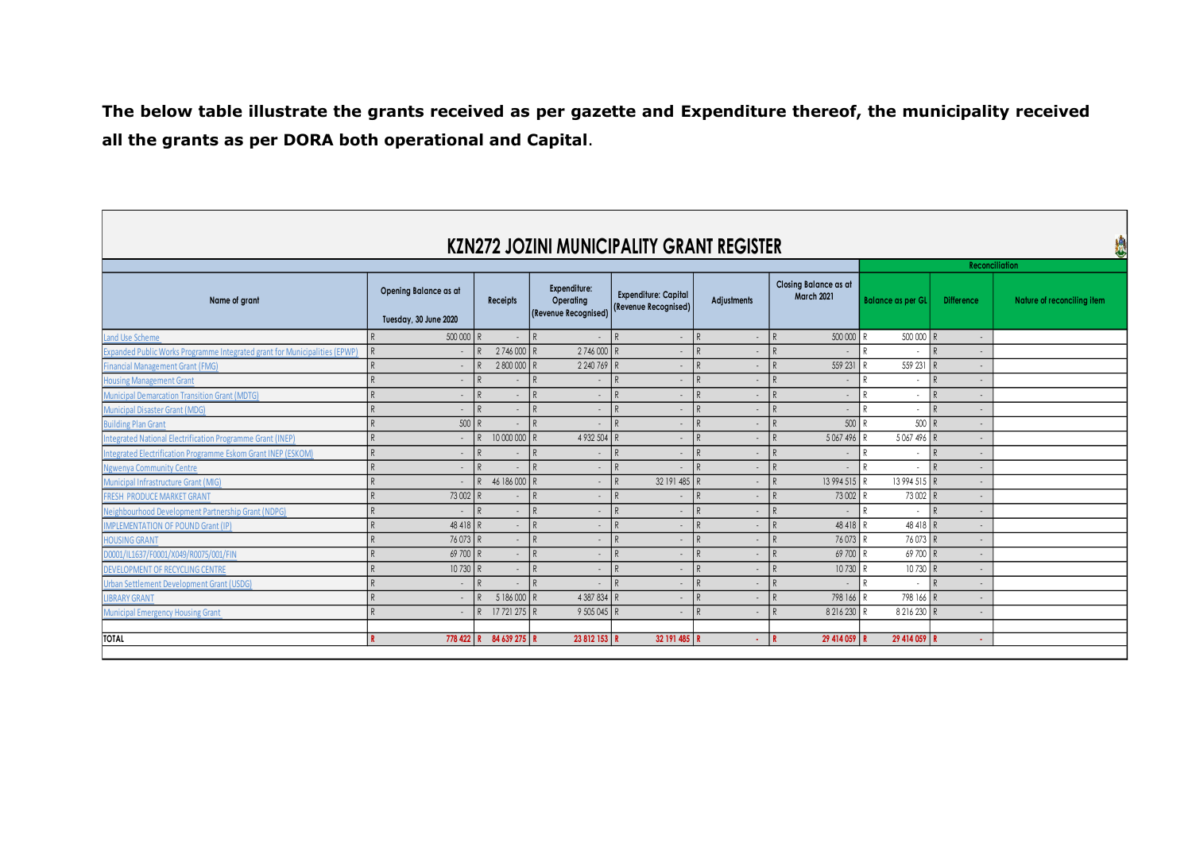**The below table illustrate the grants received as per gazette and Expenditure thereof, the municipality received all the grants as per DORA both operational and Capital**.

|                                                                                   |                                                |                              |                                                   | KZN272 JOZINI MUNICIPALITY GRANT REGISTER           |                         |                                            |                               |                   | ł                          |
|-----------------------------------------------------------------------------------|------------------------------------------------|------------------------------|---------------------------------------------------|-----------------------------------------------------|-------------------------|--------------------------------------------|-------------------------------|-------------------|----------------------------|
|                                                                                   |                                                |                              | <b>Reconciliation</b>                             |                                                     |                         |                                            |                               |                   |                            |
| Name of grant                                                                     | Opening Balance as at<br>Tuesday, 30 June 2020 | <b>Receipts</b>              | Expenditure:<br>Operating<br>(Revenue Recognised) | <b>Expenditure: Capital</b><br>(Revenue Recognised) | <b>Adjustments</b>      | Closing Balance as at<br><b>March 2021</b> | <b>Balance as per GL</b>      | <b>Difference</b> | Nature of reconciling item |
| Land Use Scheme                                                                   | 500 000                                        | R<br>$\sim$                  | R<br>$\sim$                                       | $\mathsf{R}$<br>$\sim$                              | $\mathbb{R}$<br>$\sim$  | $\mathsf{R}$<br>500 000 R                  | 500 000 R                     | $\sim$            |                            |
| <b>Expanded Public Works Programme Integrated grant for Municipalities (EPWP)</b> | $\sim$                                         | 2746000 R<br>D               | 2746 000 R                                        | $\sim$                                              | D<br>$\sim$             | $\mathsf{R}$<br>н.                         | $\overline{\phantom{a}}$      | I R<br>$\sim$     |                            |
| <b>Financial Management Grant (FMG)</b>                                           | $\sim$                                         | 2 800 000<br>R               | 2 240 769                                         | I R<br>$\sim$                                       | D<br>$\sim$             | 559 231<br>$\mathsf{R}$                    | 559 231                       | R<br>$\sim$       |                            |
| <b>Housing Management Grant</b>                                                   | $\sim$                                         | $\mathsf{R}$                 | $\mathsf{R}$<br>$\sim$                            | $\mathbb{R}$<br>$\sim$                              | $\sim$                  | $\mathsf{R}$<br>$\sim$                     | $\overline{\phantom{a}}$      | R<br>$\sim$       |                            |
| <b>Municipal Demarcation Transition Grant (MDTG)</b>                              |                                                | p                            | R                                                 | $\mathsf{R}$                                        | D                       | $\mathsf{D}$<br>÷.                         | D<br>$\overline{\phantom{a}}$ | ١R                |                            |
| <b>Municipal Disaster Grant (MDG)</b>                                             |                                                | $\mathbb{R}$                 | R                                                 | $\mathsf{R}$                                        | $\mathsf{R}$            | $\mathsf{R}$<br>$\sim$                     | $\overline{a}$                | R                 |                            |
| <b>Building Plan Grant</b>                                                        | 500                                            | R                            | R<br>$\sim$                                       | D<br>۰.                                             | D<br>$\sim$             | $500$ R<br>D                               | $500$ R                       |                   |                            |
| Integrated National Electrification Programme Grant (INEP)                        | $\sim$                                         | 10 000 000<br>R              | 4 932 504<br>D                                    | $\sim$                                              | D<br>and the            | 5 0 67 4 9 6<br>$\mathsf{R}$               | 5 067 496 R                   | $\sim$            |                            |
| Integrated Electrification Programme Eskom Grant INEP (ESKOM)                     | $\sim$                                         | D<br>$\sim$                  | P<br>$\sim$                                       | D<br>$\sim$                                         | D<br>$\sim$             | D<br>$\sim$                                | $\overline{\phantom{a}}$      | I R<br>$\sim$     |                            |
| <b>Ngwenya Community Centre</b>                                                   | $\sim$                                         | p                            | $\mathsf{R}$<br>$\sim$                            | $\mathbb{R}$                                        | D<br>÷.                 | $\mathsf{R}$<br>$\sim$                     | $\overline{\phantom{a}}$      | R<br>$\sim$       |                            |
| Municipal Infrastructure Grant (MIG)                                              | $\sim$                                         | 46 186 000<br>P.             | $\mathsf{R}$<br>$\sim$                            | 32 191 485 R<br>$\mathsf{R}$                        | $\sim$                  | 13 994 515 R<br>$\mathsf{R}$               | 13 994 515 R                  | $\sim$            |                            |
| <b>FRESH PRODUCE MARKET GRANT</b>                                                 | 73 002                                         | R<br><b>м.</b>               | $\mathsf{R}$<br>$\sim$                            | $\mathbb{R}$<br>$\sim$                              | $\sim$                  | 73 002<br>$\mathsf{R}$                     | 73 002 R                      | $\sim$            |                            |
| Neighbourhood Development Partnership Grant (NDPG)                                | $\sim$                                         | $\mathbb{R}$<br>÷.           | R<br>$\sim$                                       | $\mathsf{R}$<br>$\sim$                              | D<br>$\sim$             | D<br>$\sim$                                | $\overline{\phantom{a}}$      | R                 |                            |
| <b>IMPLEMENTATION OF POUND Grant (IP)</b>                                         | 48 4 18                                        | $\mathsf{R}$<br>$\sim$       | R<br>$\sim$                                       | $\mathsf{R}$                                        | D                       | 48 4 18<br>D                               | 48418 R                       |                   |                            |
| <b>HOUSING GRANT</b>                                                              | 76 073 R                                       | $\sim$                       | R<br>$\sim$                                       | D<br>$\sim$                                         | $\mathsf{R}$<br>and the | $\mathsf{D}$<br>76073R                     | 76 073 R                      | $\sim$            |                            |
| D0001/IL1637/F0001/X049/R0075/001/FIN                                             | 69 700 R                                       | $\sim$                       | R<br>$\sim$                                       | D<br>$\sim$                                         | D<br>÷.                 | 69 700 R<br>D                              | 69 700 R                      | $\sim$            |                            |
| <b>DEVELOPMENT OF RECYCLING CENTRE</b>                                            | 10 730                                         | R<br>$\sim$                  | R<br>$\sim$                                       | $\mathsf{R}$<br>$\sim$                              | D                       | 10730 R<br>$\mathsf{R}$                    | 10730 R                       | $\sim$            |                            |
| Urban Settlement Development Grant (USDG)                                         | $\sim$                                         | p<br>$\sim$                  | $\mathsf{R}$<br>$\sim$                            | $\mathsf{R}$<br>$\sim$                              | $\sim$                  | D<br>$\sim$                                | $\overline{\phantom{a}}$      | R<br>$\sim$       |                            |
| <b>LIBRARY GRANT</b>                                                              | $\sim$                                         | 5 186 000<br>R               | 4 387 834                                         | $\sim$                                              | D<br>$\sim$             | $\mathsf{R}$<br>798 166                    | 798 166 R                     | $\sim$            |                            |
| <b>Municipal Emergency Housing Grant</b>                                          | $\sim$                                         | 17 721 275 R<br>$\mathsf{R}$ | 9 505 045 R                                       | $\sim$                                              | D<br>$\sim$             | 8 216 230<br>$\mathsf{R}$                  | 8 216 230 R                   | $\sim$            |                            |
|                                                                                   |                                                |                              |                                                   |                                                     |                         |                                            |                               |                   |                            |
| <b>TOTAL</b>                                                                      | 778 422                                        | 84 639 275 R                 | 23 812 153 R                                      | 32 191 485 R                                        | $\sim 10^{-1}$          | 29 414 059 R                               | 29 414 059 R                  | <b>.</b>          |                            |